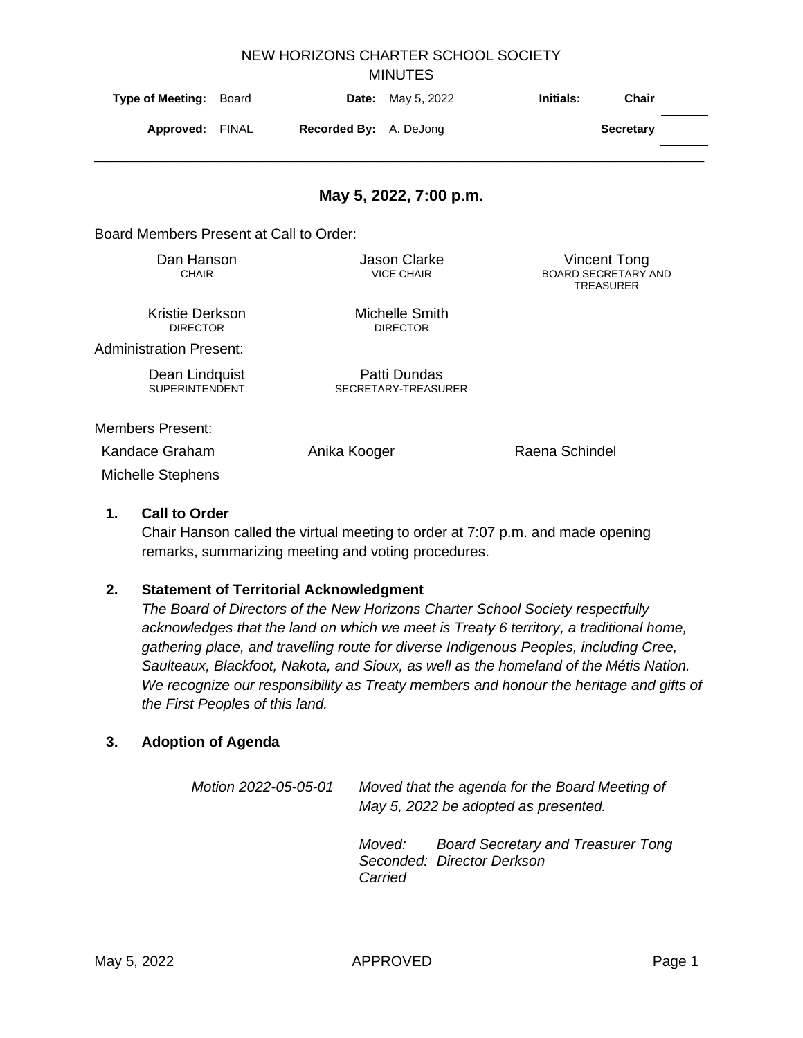| <b>MINUTES</b>                                                        |                                        |              |                                          |                |                                                                       |  |  |  |  |
|-----------------------------------------------------------------------|----------------------------------------|--------------|------------------------------------------|----------------|-----------------------------------------------------------------------|--|--|--|--|
| <b>Type of Meeting:</b>                                               | Board                                  | Date:        | May 5, 2022                              | Initials:      | <b>Chair</b>                                                          |  |  |  |  |
|                                                                       | <b>Recorded By:</b><br>Approved: FINAL |              | A. DeJong                                |                | <b>Secretary</b>                                                      |  |  |  |  |
|                                                                       |                                        |              | May 5, 2022, 7:00 p.m.                   |                |                                                                       |  |  |  |  |
| Board Members Present at Call to Order:                               |                                        |              |                                          |                |                                                                       |  |  |  |  |
| Dan Hanson<br><b>CHAIR</b>                                            |                                        |              | <b>Jason Clarke</b><br><b>VICE CHAIR</b> |                | <b>Vincent Tong</b><br><b>BOARD SECRETARY AND</b><br><b>TREASURER</b> |  |  |  |  |
| Kristie Derkson<br><b>DIRECTOR</b>                                    |                                        |              | Michelle Smith<br><b>DIRECTOR</b>        |                |                                                                       |  |  |  |  |
| <b>Administration Present:</b>                                        |                                        |              |                                          |                |                                                                       |  |  |  |  |
| Dean Lindquist<br><b>SUPERINTENDENT</b>                               |                                        |              | Patti Dundas<br>SECRETARY-TREASURER      |                |                                                                       |  |  |  |  |
| <b>Members Present:</b><br>Kandace Graham<br><b>Michelle Stephens</b> |                                        | Anika Kooger |                                          | Raena Schindel |                                                                       |  |  |  |  |

NEW HORIZONS CHARTER SCHOOL SOCIETY

## **1. Call to Order**

Chair Hanson called the virtual meeting to order at 7:07 p.m. and made opening remarks, summarizing meeting and voting procedures.

## **2. Statement of Territorial Acknowledgment**

*The Board of Directors of the New Horizons Charter School Society respectfully acknowledges that the land on which we meet is Treaty 6 territory, a traditional home, gathering place, and travelling route for diverse Indigenous Peoples, including Cree, Saulteaux, Blackfoot, Nakota, and Sioux, as well as the homeland of the Métis Nation. We recognize our responsibility as Treaty members and honour the heritage and gifts of the First Peoples of this land.*

## **3. Adoption of Agenda**

*Motion 2022-05-05-01 Moved that the agenda for the Board Meeting of May 5, 2022 be adopted as presented. Moved: Board Secretary and Treasurer Tong Seconded: Director Derkson Carried*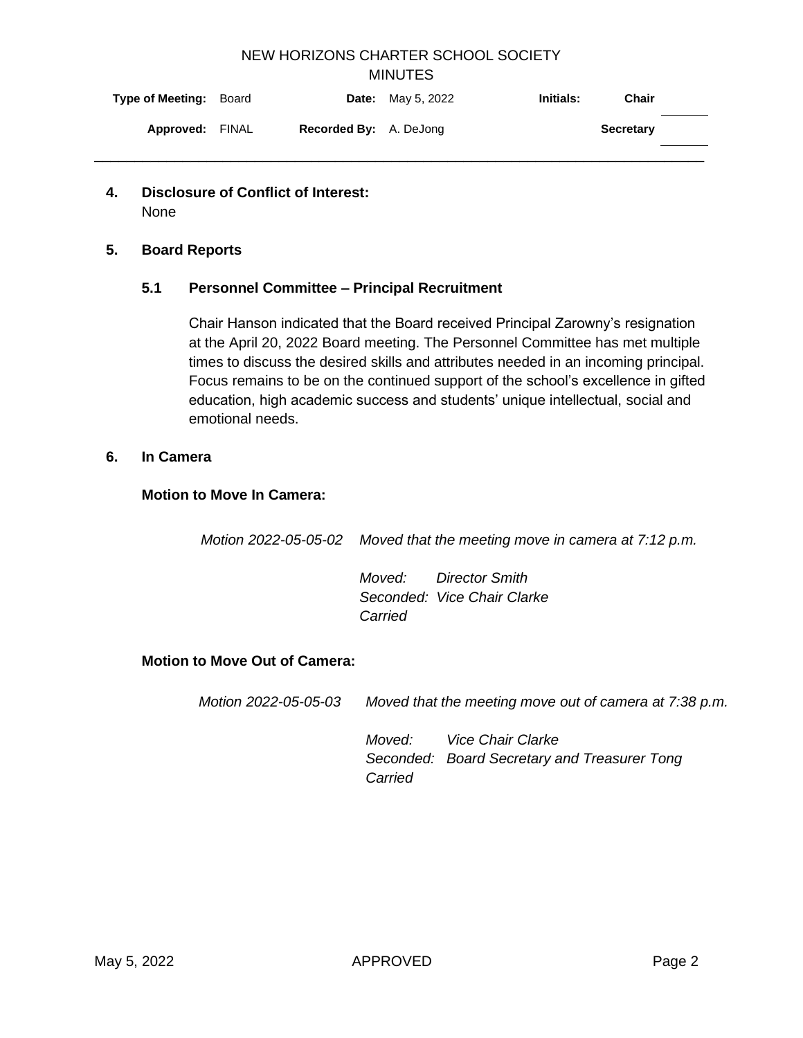# NEW HORIZONS CHARTER SCHOOL SOCIETY **MINUTES**

| <b>Type of Meeting: Board</b> |                               | <b>Date:</b> May 5, 2022 | <b>Initials:</b><br>Chair |  |
|-------------------------------|-------------------------------|--------------------------|---------------------------|--|
| <b>Approved: FINAL</b>        | <b>Recorded By:</b> A. DeJong |                          | <b>Secretary</b>          |  |
|                               |                               |                          |                           |  |

**4. Disclosure of Conflict of Interest:**  None

### **5. Board Reports**

### **5.1 Personnel Committee – Principal Recruitment**

Chair Hanson indicated that the Board received Principal Zarowny's resignation at the April 20, 2022 Board meeting. The Personnel Committee has met multiple times to discuss the desired skills and attributes needed in an incoming principal. Focus remains to be on the continued support of the school's excellence in gifted education, high academic success and students' unique intellectual, social and emotional needs.

#### **6. In Camera**

### **Motion to Move In Camera:**

*Motion 2022-05-05-02 Moved that the meeting move in camera at 7:12 p.m.* 

*Moved: Director Smith Seconded: Vice Chair Clarke Carried*

## **Motion to Move Out of Camera:**

*Motion 2022-05-05-03 Moved that the meeting move out of camera at 7:38 p.m.* 

*Moved: Vice Chair Clarke Seconded: Board Secretary and Treasurer Tong Carried*